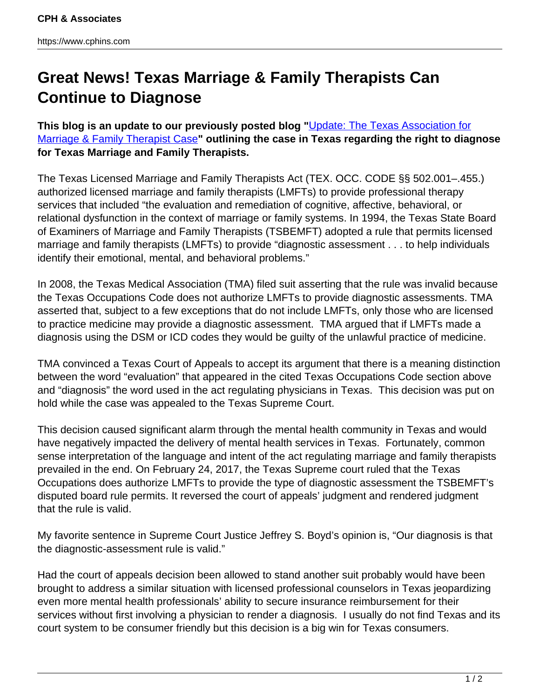## **Great News! Texas Marriage & Family Therapists Can Continue to Diagnose**

**This blog is an update to our previously posted blog "**[Update: The Texas Association for](http://www.cphins.com/update-the-texas-association-for-marriage-family-therapist-case/) [Marriage & Family Therapist Case](http://www.cphins.com/update-the-texas-association-for-marriage-family-therapist-case/)**" outlining the case in Texas regarding the right to diagnose for Texas Marriage and Family Therapists.**

The Texas Licensed Marriage and Family Therapists Act (TEX. OCC. CODE §§ 502.001–.455.) authorized licensed marriage and family therapists (LMFTs) to provide professional therapy services that included "the evaluation and remediation of cognitive, affective, behavioral, or relational dysfunction in the context of marriage or family systems. In 1994, the Texas State Board of Examiners of Marriage and Family Therapists (TSBEMFT) adopted a rule that permits licensed marriage and family therapists (LMFTs) to provide "diagnostic assessment . . . to help individuals identify their emotional, mental, and behavioral problems."

In 2008, the Texas Medical Association (TMA) filed suit asserting that the rule was invalid because the Texas Occupations Code does not authorize LMFTs to provide diagnostic assessments. TMA asserted that, subject to a few exceptions that do not include LMFTs, only those who are licensed to practice medicine may provide a diagnostic assessment. TMA argued that if LMFTs made a diagnosis using the DSM or ICD codes they would be guilty of the unlawful practice of medicine.

TMA convinced a Texas Court of Appeals to accept its argument that there is a meaning distinction between the word "evaluation" that appeared in the cited Texas Occupations Code section above and "diagnosis" the word used in the act regulating physicians in Texas. This decision was put on hold while the case was appealed to the Texas Supreme Court.

This decision caused significant alarm through the mental health community in Texas and would have negatively impacted the delivery of mental health services in Texas. Fortunately, common sense interpretation of the language and intent of the act regulating marriage and family therapists prevailed in the end. On February 24, 2017, the Texas Supreme court ruled that the Texas Occupations does authorize LMFTs to provide the type of diagnostic assessment the TSBEMFT's disputed board rule permits. It reversed the court of appeals' judgment and rendered judgment that the rule is valid.

My favorite sentence in Supreme Court Justice Jeffrey S. Boyd's opinion is, "Our diagnosis is that the diagnostic-assessment rule is valid."

Had the court of appeals decision been allowed to stand another suit probably would have been brought to address a similar situation with licensed professional counselors in Texas jeopardizing even more mental health professionals' ability to secure insurance reimbursement for their services without first involving a physician to render a diagnosis. I usually do not find Texas and its court system to be consumer friendly but this decision is a big win for Texas consumers.